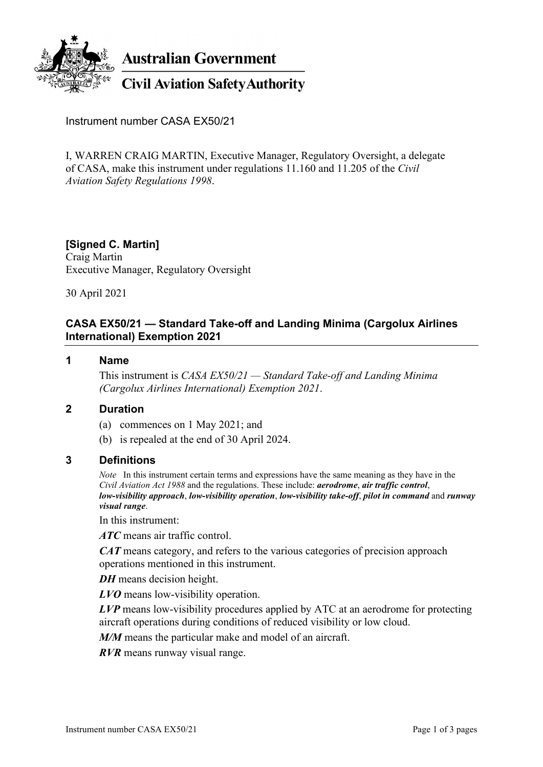

Instrument number CASA EX50/21

I, WARREN CRAIG MARTIN, Executive Manager, Regulatory Oversight, a delegate of CASA, make this instrument under regulations 11.160 and 11.205 of the *Civil Aviation Safety Regulations 1998*.

### **[Signed C. Martin]**

Craig Martin Executive Manager, Regulatory Oversight

30 April 2021

## **CASA EX50/21 — Standard Take-off and Landing Minima (Cargolux Airlines International) Exemption 2021**

### **1 Name**

This instrument is *CASA EX50/21 — Standard Take-off and Landing Minima (Cargolux Airlines International) Exemption 2021*.

## **2 Duration**

- (a) commences on 1 May 2021; and
- (b) is repealed at the end of 30 April 2024.

#### **3 Definitions**

*Note* In this instrument certain terms and expressions have the same meaning as they have in the *Civil Aviation Act 1988* and the regulations. These include: *aerodrome*, *air traffic control*, *low-visibility approach*, *low-visibility operation*, *low-visibility take-off*, *pilot in command* and *runway visual range*.

In this instrument:

*ATC* means air traffic control.

*CAT* means category, and refers to the various categories of precision approach operations mentioned in this instrument.

*DH* means decision height.

*LVO* means low-visibility operation.

*LVP* means low-visibility procedures applied by ATC at an aerodrome for protecting aircraft operations during conditions of reduced visibility or low cloud.

*M/M* means the particular make and model of an aircraft.

*RVR* means runway visual range.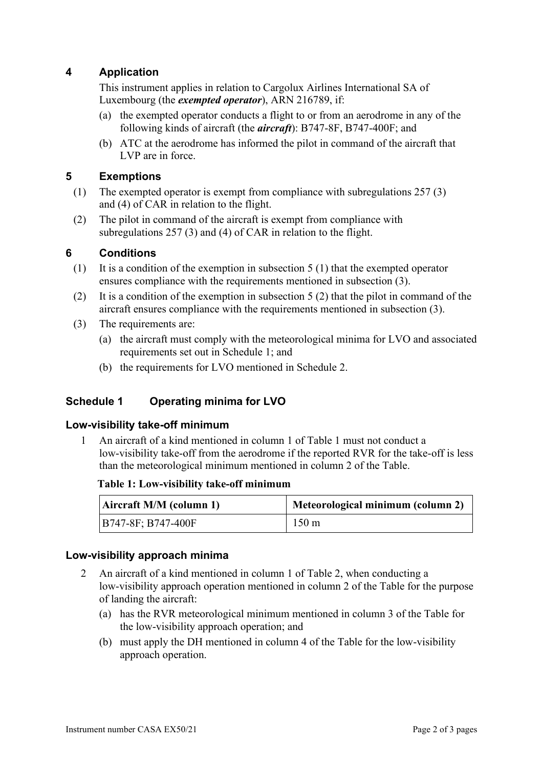# **4 Application**

This instrument applies in relation to Cargolux Airlines International SA of Luxembourg (the *exempted operator*), ARN 216789, if:

- (a) the exempted operator conducts a flight to or from an aerodrome in any of the following kinds of aircraft (the *aircraft*): B747-8F, B747-400F; and
- (b) ATC at the aerodrome has informed the pilot in command of the aircraft that LVP are in force.

# **5 Exemptions**

- (1) The exempted operator is exempt from compliance with subregulations 257 (3) and (4) of CAR in relation to the flight.
- (2) The pilot in command of the aircraft is exempt from compliance with subregulations 257 (3) and (4) of CAR in relation to the flight.

# **6 Conditions**

- (1) It is a condition of the exemption in subsection 5 (1) that the exempted operator ensures compliance with the requirements mentioned in subsection (3).
- (2) It is a condition of the exemption in subsection 5 (2) that the pilot in command of the aircraft ensures compliance with the requirements mentioned in subsection (3).
- (3) The requirements are:
	- (a) the aircraft must comply with the meteorological minima for LVO and associated requirements set out in Schedule 1; and
	- (b) the requirements for LVO mentioned in Schedule 2.

# **Schedule 1 Operating minima for LVO**

## **Low-visibility take-off minimum**

1 An aircraft of a kind mentioned in column 1 of Table 1 must not conduct a low-visibility take-off from the aerodrome if the reported RVR for the take-off is less than the meteorological minimum mentioned in column 2 of the Table.

### **Table 1: Low-visibility take-off minimum**

| Aircraft M/M (column 1) | Meteorological minimum (column 2) |  |
|-------------------------|-----------------------------------|--|
| B747-8F; B747-400F      | $150 \text{ m}$                   |  |

### **Low-visibility approach minima**

- 2 An aircraft of a kind mentioned in column 1 of Table 2, when conducting a low-visibility approach operation mentioned in column 2 of the Table for the purpose of landing the aircraft:
	- (a) has the RVR meteorological minimum mentioned in column 3 of the Table for the low-visibility approach operation; and
	- (b) must apply the DH mentioned in column 4 of the Table for the low-visibility approach operation.